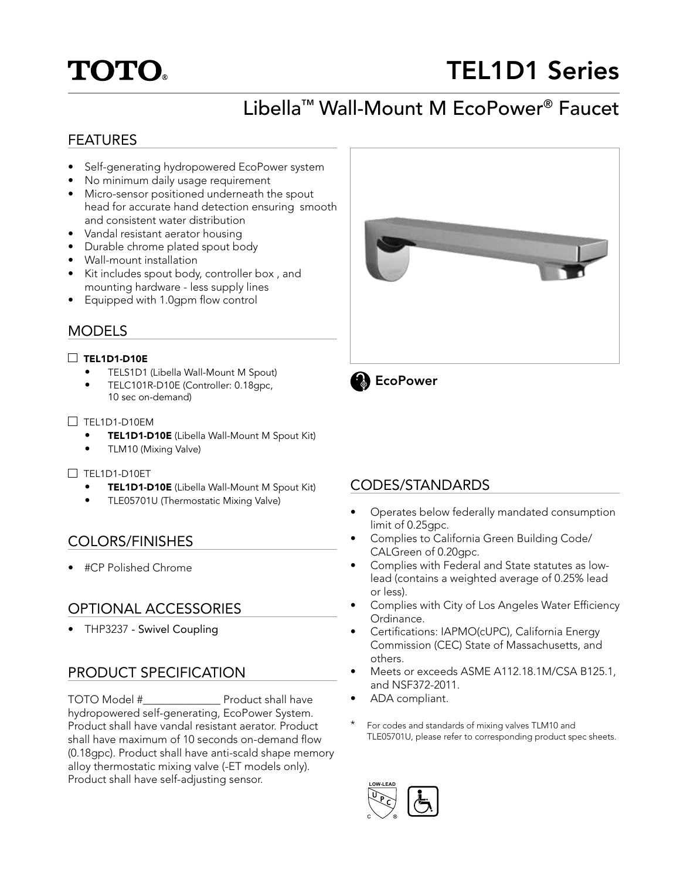# **TOTO.**

# TEL1D1 Series

# Libella™ Wall-Mount M EcoPower® Faucet

## FEATURES

- Self-generating hydropowered EcoPower system
- No minimum daily usage requirement
- Micro-sensor positioned underneath the spout head for accurate hand detection ensuring smooth and consistent water distribution
- Vandal resistant aerator housing
- Durable chrome plated spout body
- Wall-mount installation
- Kit includes spout body, controller box , and mounting hardware - less supply lines
- Equipped with 1.0gpm flow control

## MODELS

#### $\Box$  TEL1D1-D10E

- TELS1D1 (Libella Wall-Mount M Spout)
- TELC101R-D10E (Controller: 0.18gpc, 10 sec on-demand)

#### $\Box$  TEL1D1-D10EM

- TEL1D1-D10E (Libella Wall-Mount M Spout Kit)
- TLM10 (Mixing Valve)

#### TEL1D1-D10ET

- TEL1D1-D10E (Libella Wall-Mount M Spout Kit)
- TLE05701U (Thermostatic Mixing Valve)

# COLORS/FINISHES

• #CP Polished Chrome

# OPTIONAL ACCESSORIES

• THP3237 - Swivel Coupling

# PRODUCT SPECIFICATION

TOTO Model #\_\_\_\_\_\_\_\_\_\_\_\_\_\_ Product shall have hydropowered self-generating, EcoPower System. Product shall have vandal resistant aerator. Product shall have maximum of 10 seconds on-demand flow (0.18gpc). Product shall have anti-scald shape memory alloy thermostatic mixing valve (-ET models only). Product shall have self-adjusting sensor.





## CODES/STANDARDS

- Operates below federally mandated consumption limit of 0.25gpc.
- Complies to California Green Building Code/ CALGreen of 0.20gpc.
- Complies with Federal and State statutes as lowlead (contains a weighted average of 0.25% lead or less).
- Complies with City of Los Angeles Water Efficiency Ordinance.
- Certifications: IAPMO(cUPC), California Energy Commission (CEC) State of Massachusetts, and others.
- Meets or exceeds ASME A112.18.1M/CSA B125.1, and NSF372-2011.
- ADA compliant.
- For codes and standards of mixing valves TLM10 and TLE05701U, please refer to corresponding product spec sheets.